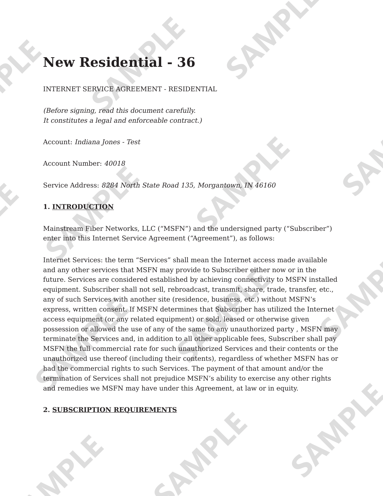# **New Residential - 36**

INTERNET SERVICE AGREEMENT - RESIDENTIAL

(Before signing, read this document carefully. It constitutes a legal and enforceable contract.)

Account: Indiana Jones - Test

Account Number: 40018

Service Address: 8284 North State Road 135, Morgantown, IN 46160

## 1. INTRODUCTION

Mainstream Fiber Networks, LLC ("MSFN") and the undersigned party ("Subscriber") enter into this Internet Service Agreement ("Agreement"), as follows:

Internet Services: the term "Services" shall mean the Internet access made available and any other services that MSFN may provide to Subscriber either now or in the future. Services are considered established by achieving connectivity to MSFN installed equipment. Subscriber shall not sell, rebroadcast, transmit, share, trade, transfer, etc., any of such Services with another site (residence, business, etc.) without MSFN's express, written consent. If MSFN determines that Subscriber has utilized the Internet access equipment (or any related equipment) or sold, leased or otherwise given possession or allowed the use of any of the same to any unauthorized party, MSFN may terminate the Services and, in addition to all other applicable fees, Subscriber shall pay MSFN the full commercial rate for such unauthorized Services and their contents or the unauthorized use thereof (including their contents), regardless of whether MSFN has or had the commercial rights to such Services. The payment of that amount and/or the termination of Services shall not prejudice MSFN's ability to exercise any other rights and remedies we MSFN may have under this Agreement, at law or in equity.

#### **2. SUBSCRIPTION REQUIREMENTS**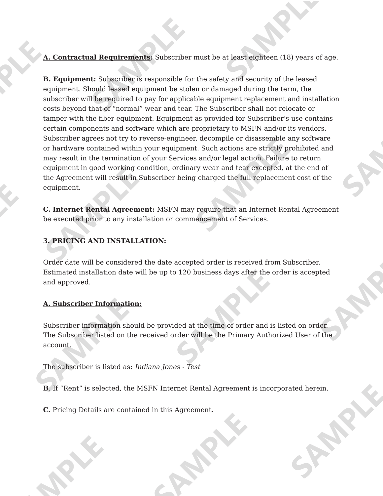A. Contractual Requirements: Subscriber must be at least eighteen (18) years of age.

**B. Equipment:** Subscriber is responsible for the safety and security of the leased equipment. Should leased equipment be stolen or damaged during the term, the subscriber will be required to pay for applicable equipment replacement and installation costs beyond that of "normal" wear and tear. The Subscriber shall not relocate or tamper with the fiber equipment. Equipment as provided for Subscriber's use contains certain components and software which are proprietary to MSFN and/or its vendors. Subscriber agrees not try to reverse-engineer, decompile or disassemble any software or hardware contained within your equipment. Such actions are strictly prohibited and may result in the termination of your Services and/or legal action. Failure to return equipment in good working condition, ordinary wear and tear excepted, at the end of the Agreement will result in Subscriber being charged the full replacement cost of the equipment.

**C. Internet Rental Agreement:** MSFN may require that an Internet Rental Agreement be executed prior to any installation or commencement of Services.

## **3. PRICING AND INSTALLATION:**

Order date will be considered the date accepted order is received from Subscriber. Estimated installation date will be up to 120 business days after the order is accepted and approved.

#### A. Subscriber Information:

Subscriber information should be provided at the time of order and is listed on order. The Subscriber listed on the received order will be the Primary Authorized User of the account.

The subscriber is listed as: Indiana Jones - Test

**B.** If "Rent" is selected, the MSFN Internet Rental Agreement is incorporated herein.

C. Pricing Details are contained in this Agreement.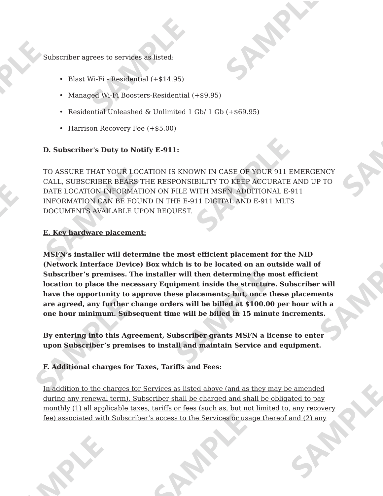Subscriber agrees to services as listed:

- Blast Wi-Fi Residential (+\$14.95)
- Managed Wi-Fi Boosters-Residential (+\$9.95)
- Residential Unleashed & Unlimited 1 Gb/ 1 Gb (+\$69.95)
- Harrison Recovery Fee  $(+\$5.00)$

#### D. Subscriber's Duty to Notify E-911:

TO ASSURE THAT YOUR LOCATION IS KNOWN IN CASE OF YOUR 911 EMERGENCY CALL, SUBSCRIBER BEARS THE RESPONSIBILITY TO KEEP ACCURATE AND UP TO DATE LOCATION INFORMATION ON FILE WITH MSFN. ADDITIONAL E-911 INFORMATION CAN BE FOUND IN THE E-911 DIGITAL AND E-911 MLTS DOCUMENTS AVAILABLE UPON REOUEST.

#### E. Key hardware placement:

MSFN's installer will determine the most efficient placement for the NID (Network Interface Device) Box which is to be located on an outside wall of Subscriber's premises. The installer will then determine the most efficient location to place the necessary Equipment inside the structure. Subscriber will have the opportunity to approve these placements; but, once these placements are agreed, any further change orders will be billed at \$100.00 per hour with a one hour minimum. Subsequent time will be billed in 15 minute increments.

By entering into this Agreement, Subscriber grants MSFN a license to enter upon Subscriber's premises to install and maintain Service and equipment.

## F. Additional charges for Taxes, Tariffs and Fees:

In addition to the charges for Services as listed above (and as they may be amended during any renewal term), Subscriber shall be charged and shall be obligated to pay monthly (1) all applicable taxes, tariffs or fees (such as, but not limited to, any recovery fee) associated with Subscriber's access to the Services or usage thereof and (2) any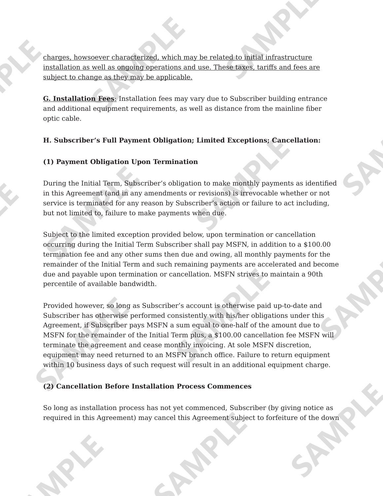charges, howsoever characterized, which may be related to initial infrastructure installation as well as ongoing operations and use. These taxes, tariffs and fees are subject to change as they may be applicable.

**G. Installation Fees:** Installation fees may vary due to Subscriber building entrance and additional equipment requirements, as well as distance from the mainline fiber optic cable.

#### H. Subscriber's Full Payment Obligation; Limited Exceptions; Cancellation:

#### (1) Payment Obligation Upon Termination

During the Initial Term, Subscriber's obligation to make monthly payments as identified in this Agreement (and in any amendments or revisions) is irrevocable whether or not service is terminated for any reason by Subscriber's action or failure to act including, but not limited to, failure to make payments when due.

Subject to the limited exception provided below, upon termination or cancellation occurring during the Initial Term Subscriber shall pay MSFN, in addition to a \$100.00 termination fee and any other sums then due and owing, all monthly payments for the remainder of the Initial Term and such remaining payments are accelerated and become due and payable upon termination or cancellation. MSFN strives to maintain a 90th percentile of available bandwidth.

Provided however, so long as Subscriber's account is otherwise paid up-to-date and Subscriber has otherwise performed consistently with his/her obligations under this Agreement, if Subscriber pays MSFN a sum equal to one-half of the amount due to MSFN for the remainder of the Initial Term plus, a \$100.00 cancellation fee MSFN will terminate the agreement and cease monthly invoicing. At sole MSFN discretion, equipment may need returned to an MSFN branch office. Failure to return equipment within 10 business days of such request will result in an additional equipment charge.

#### (2) Cancellation Before Installation Process Commences

So long as installation process has not yet commenced, Subscriber (by giving notice as required in this Agreement) may cancel this Agreement subject to forfeiture of the down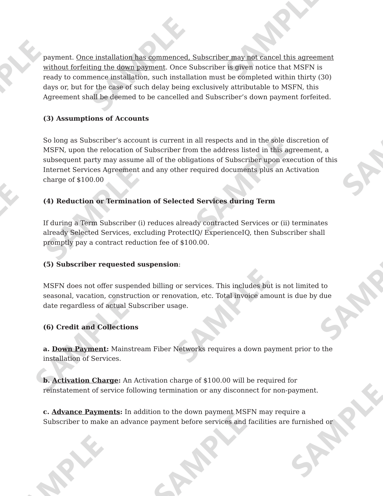payment. Once installation has commenced. Subscriber may not cancel this agreement without forfeiting the down payment. Once Subscriber is given notice that MSFN is ready to commence installation, such installation must be completed within thirty (30) days or, but for the case of such delay being exclusively attributable to MSFN, this Agreement shall be deemed to be cancelled and Subscriber's down payment forfeited.

## (3) Assumptions of Accounts

So long as Subscriber's account is current in all respects and in the sole discretion of MSFN, upon the relocation of Subscriber from the address listed in this agreement, a subsequent party may assume all of the obligations of Subscriber upon execution of this Internet Services Agreement and any other required documents plus an Activation charge of  $$100.00$ 

## (4) Reduction or Termination of Selected Services during Term

If during a Term Subscriber (i) reduces already contracted Services or (ii) terminates already Selected Services, excluding ProtectIQ/ ExperienceIQ, then Subscriber shall promptly pay a contract reduction fee of \$100.00.

## (5) Subscriber requested suspension:

MSFN does not offer suspended billing or services. This includes but is not limited to seasonal, vacation, construction or renovation, etc. Total invoice amount is due by due date regardless of actual Subscriber usage.

## (6) Credit and Collections

a. Down Payment: Mainstream Fiber Networks requires a down payment prior to the installation of Services.

**b.** Activation Charge: An Activation charge of \$100.00 will be required for reinstatement of service following termination or any disconnect for non-payment.

c. Advance Payments: In addition to the down payment MSFN may require a Subscriber to make an advance payment before services and facilities are furnished or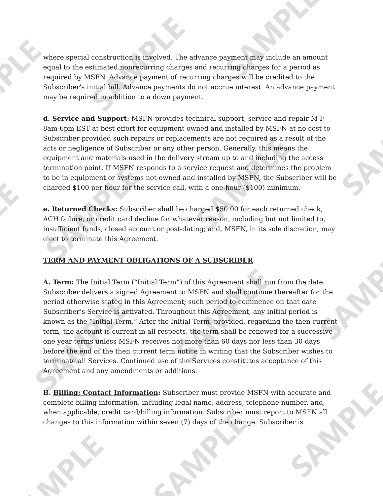where special construction is involved. The advance payment may include an amount equal to the estimated nonrecurring charges and recurring charges for a period as required by MSFN. Advance payment of recurring charges will be credited to the Subscriber's initial bill. Advance payments do not accrue interest. An advance payment may be required in addition to a down payment.

d. Service and Support: MSFN provides technical support, service and repair M-F 8am-6pm EST at best effort for equipment owned and installed by MSFN at no cost to Subscriber provided such repairs or replacements are not required as a result of the acts or negligence of Subscriber or any other person. Generally, this means the equipment and materials used in the delivery stream up to and including the access termination point. If MSFN responds to a service request and determines the problem to be in equipment or systems not owned and installed by MSFN, the Subscriber will be charged \$100 per hour for the service call, with a one-hour (\$100) minimum.

e. Returned Checks: Subscriber shall be charged \$50.00 for each returned check, ACH failure, or credit card decline for whatever reason, including but not limited to, insufficient funds, closed account or post-dating; and, MSFN, in its sole discretion, may elect to terminate this Agreement.

## **TERM AND PAYMENT OBLIGATIONS OF A SUBSCRIBER**

A. Term: The Initial Term ("Initial Term") of this Agreement shall run from the date Subscriber delivers a signed Agreement to MSFN and shall continue thereafter for the period otherwise stated in this Agreement; such period to commence on that date Subscriber's Service is activated. Throughout this Agreement, any initial period is known as the "Initial Term." After the Initial Term, provided, regarding the then current term, the account is current in all respects, the term shall be renewed for a successive one year terms unless MSFN receives not more than 60 days nor less than 30 days before the end of the then current term notice in writing that the Subscriber wishes to terminate all Services. Continued use of the Services constitutes acceptance of this Agreement and any amendments or additions.

B. Billing; Contact Information: Subscriber must provide MSFN with accurate and complete billing information, including legal name, address, telephone number, and, when applicable, credit card/billing information. Subscriber must report to MSFN all changes to this information within seven (7) days of the change. Subscriber is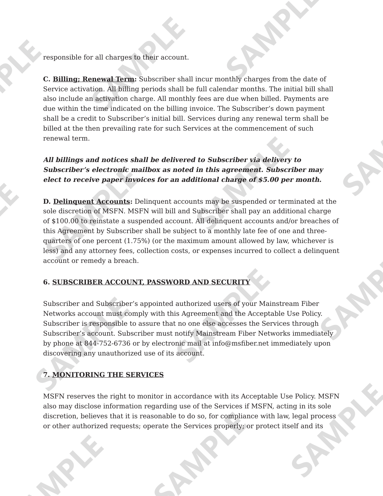responsible for all charges to their account.

C. Billing: Renewal Term: Subscriber shall incur monthly charges from the date of Service activation. All billing periods shall be full calendar months. The initial bill shall also include an activation charge. All monthly fees are due when billed. Payments are due within the time indicated on the billing invoice. The Subscriber's down payment shall be a credit to Subscriber's initial bill. Services during any renewal term shall be billed at the then prevailing rate for such Services at the commencement of such renewal term.

All billings and notices shall be delivered to Subscriber via delivery to Subscriber's electronic mailbox as noted in this agreement. Subscriber may elect to receive paper invoices for an additional charge of \$5.00 per month.

**D. Delinguent Accounts:** Delinguent accounts may be suspended or terminated at the sole discretion of MSFN. MSFN will bill and Subscriber shall pay an additional charge of \$100.00 to reinstate a suspended account. All delinguent accounts and/or breaches of this Agreement by Subscriber shall be subject to a monthly late fee of one and threequarters of one percent (1.75%) (or the maximum amount allowed by law, whichever is less) and any attorney fees, collection costs, or expenses incurred to collect a delinquent account or remedy a breach.

## 6. SUBSCRIBER ACCOUNT, PASSWORD AND SECURITY

Subscriber and Subscriber's appointed authorized users of your Mainstream Fiber Networks account must comply with this Agreement and the Acceptable Use Policy. Subscriber is responsible to assure that no one else accesses the Services through Subscriber's account. Subscriber must notify Mainstream Fiber Networks immediately by phone at 844-752-6736 or by electronic mail at info@msfiber.net immediately upon discovering any unauthorized use of its account.

## 7. MONITORING THE SERVICES

MSFN reserves the right to monitor in accordance with its Acceptable Use Policy. MSFN also may disclose information regarding use of the Services if MSFN, acting in its sole discretion, believes that it is reasonable to do so, for compliance with law, legal process or other authorized requests; operate the Services properly; or protect itself and its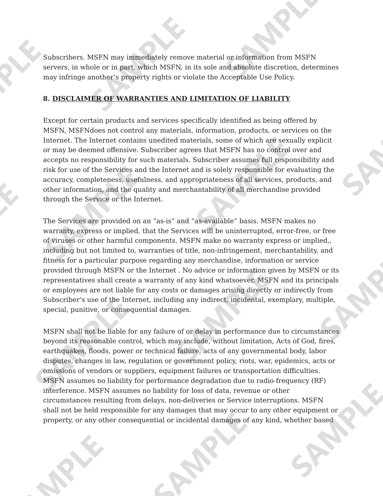Subscribers. MSFN may immediately remove material or information from MSFN servers, in whole or in part, which MSFN, in its sole and absolute discretion, determines may infringe another's property rights or violate the Acceptable Use Policy.

#### 8. DISCLAIMER OF WARRANTIES AND LIMITATION OF LIABILITY

Except for certain products and services specifically identified as being offered by MSFN, MSFNdoes not control any materials, information, products, or services on the Internet. The Internet contains unedited materials, some of which are sexually explicit or may be deemed offensive. Subscriber agrees that MSFN has no control over and accepts no responsibility for such materials. Subscriber assumes full responsibility and risk for use of the Services and the Internet and is solely responsible for evaluating the accuracy, completeness, usefulness, and appropriateness of all services, products, and other information, and the quality and merchantability of all merchandise provided through the Service or the Internet.

The Services are provided on an "as-is" and "as-available" basis. MSFN makes no warranty, express or implied, that the Services will be uninterrupted, error-free, or free of viruses or other harmful components. MSFN make no warranty express or implied,, including but not limited to, warranties of title, non-infringement, merchantability, and fitness for a particular purpose regarding any merchandise, information or service provided through MSFN or the Internet. No advice or information given by MSFN or its representatives shall create a warranty of any kind whatsoever. MSFN and its principals or employees are not liable for any costs or damages arising directly or indirectly from Subscriber's use of the Internet, including any indirect, incidental, exemplary, multiple, special, punitive, or consequential damages.

MSFN shall not be liable for any failure of or delay in performance due to circumstances beyond its reasonable control, which may include, without limitation, Acts of God, fires, earthquakes, floods, power or technical failure, acts of any governmental body, labor disputes, changes in law, regulation or government policy, riots, war, epidemics, acts or omissions of vendors or suppliers, equipment failures or transportation difficulties. MSFN assumes no liability for performance degradation due to radio-frequency (RF) interference. MSFN assumes no liability for loss of data, revenue or other circumstances resulting from delays, non-deliveries or Service interruptions. MSFN shall not be held responsible for any damages that may occur to any other equipment or property, or any other consequential or incidental damages of any kind, whether based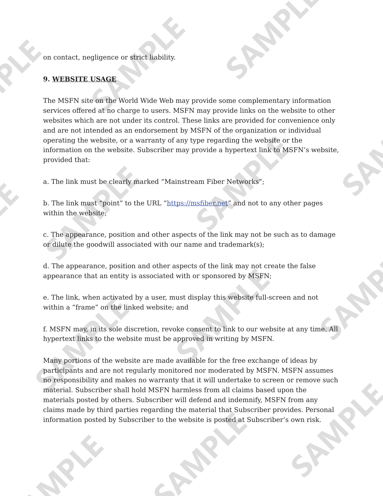on contact, negligence or strict liability.

#### **9. WEBSITE USAGE**

The MSFN site on the World Wide Web may provide some complementary information services offered at no charge to users. MSFN may provide links on the website to other websites which are not under its control. These links are provided for convenience only and are not intended as an endorsement by MSFN of the organization or individual operating the website, or a warranty of any type regarding the website or the information on the website. Subscriber may provide a hypertext link to MSFN's website, provided that:

a. The link must be clearly marked "Mainstream Fiber Networks";

b. The link must "point" to the URL "https://msfiber.net" and not to any other pages within the website:

c. The appearance, position and other aspects of the link may not be such as to damage or dilute the goodwill associated with our name and trademark(s);

d. The appearance, position and other aspects of the link may not create the false appearance that an entity is associated with or sponsored by MSFN;

e. The link, when activated by a user, must display this website full-screen and not within a "frame" on the linked website: and

f. MSFN may, in its sole discretion, revoke consent to link to our website at any time. All hypertext links to the website must be approved in writing by MSFN.

Many portions of the website are made available for the free exchange of ideas by participants and are not regularly monitored nor moderated by MSFN. MSFN assumes no responsibility and makes no warranty that it will undertake to screen or remove such material. Subscriber shall hold MSFN harmless from all claims based upon the materials posted by others. Subscriber will defend and indemnify, MSFN from any claims made by third parties regarding the material that Subscriber provides. Personal information posted by Subscriber to the website is posted at Subscriber's own risk.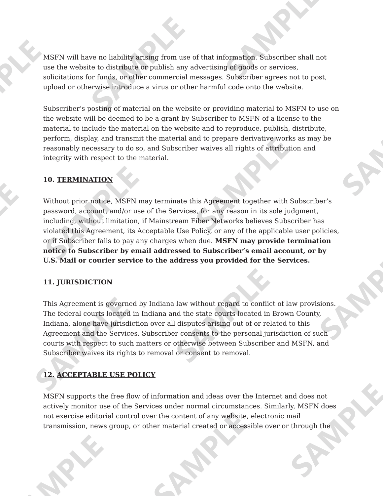MSFN will have no liability arising from use of that information. Subscriber shall not use the website to distribute or publish any advertising of goods or services. solicitations for funds, or other commercial messages. Subscriber agrees not to post, upload or otherwise introduce a virus or other harmful code onto the website.

Subscriber's posting of material on the website or providing material to MSFN to use on the website will be deemed to be a grant by Subscriber to MSFN of a license to the material to include the material on the website and to reproduce, publish, distribute, perform, display, and transmit the material and to prepare derivative works as may be reasonably necessary to do so, and Subscriber waives all rights of attribution and integrity with respect to the material.

## **10. TERMINATION**

Without prior notice, MSFN may terminate this Agreement together with Subscriber's password, account, and/or use of the Services, for any reason in its sole judgment, including, without limitation, if Mainstream Fiber Networks believes Subscriber has violated this Agreement, its Acceptable Use Policy, or any of the applicable user policies, or if Subscriber fails to pay any charges when due. MSFN may provide termination notice to Subscriber by email addressed to Subscriber's email account, or by U.S. Mail or courier service to the address you provided for the Services.

## 11. JURISDICTION

This Agreement is governed by Indiana law without regard to conflict of law provisions. The federal courts located in Indiana and the state courts located in Brown County, Indiana, alone have jurisdiction over all disputes arising out of or related to this Agreement and the Services. Subscriber consents to the personal jurisdiction of such courts with respect to such matters or otherwise between Subscriber and MSFN, and Subscriber waives its rights to removal or consent to removal.

## **12. ACCEPTABLE USE POLICY**

MSFN supports the free flow of information and ideas over the Internet and does not actively monitor use of the Services under normal circumstances. Similarly, MSFN does not exercise editorial control over the content of any website, electronic mail transmission, news group, or other material created or accessible over or through the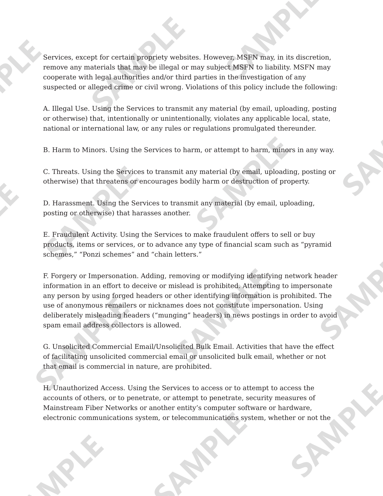Services, except for certain propriety websites. However, MSFN may, in its discretion, remove any materials that may be illegal or may subject MSFN to liability. MSFN may cooperate with legal authorities and/or third parties in the investigation of any suspected or alleged crime or civil wrong. Violations of this policy include the following:

A. Illegal Use. Using the Services to transmit any material (by email, uploading, posting or otherwise) that, intentionally or unintentionally, violates any applicable local, state, national or international law, or any rules or regulations promulgated thereunder.

B. Harm to Minors. Using the Services to harm, or attempt to harm, minors in any way.

C. Threats. Using the Services to transmit any material (by email, uploading, posting or otherwise) that threatens or encourages bodily harm or destruction of property.

D. Harassment. Using the Services to transmit any material (by email, uploading, posting or otherwise) that harasses another.

E. Fraudulent Activity. Using the Services to make fraudulent offers to sell or buy products, items or services, or to advance any type of financial scam such as "pyramid schemes," "Ponzi schemes" and "chain letters."

F. Forgery or Impersonation. Adding, removing or modifying identifying network header information in an effort to deceive or mislead is prohibited. Attempting to impersonate any person by using forged headers or other identifying information is prohibited. The use of anonymous remailers or nicknames does not constitute impersonation. Using deliberately misleading headers ("munging" headers) in news postings in order to avoid spam email address collectors is allowed.

G. Unsolicited Commercial Email/Unsolicited Bulk Email. Activities that have the effect of facilitating unsolicited commercial email or unsolicited bulk email, whether or not that email is commercial in nature, are prohibited.

H. Unauthorized Access. Using the Services to access or to attempt to access the accounts of others, or to penetrate, or attempt to penetrate, security measures of Mainstream Fiber Networks or another entity's computer software or hardware, electronic communications system, or telecommunications system, whether or not the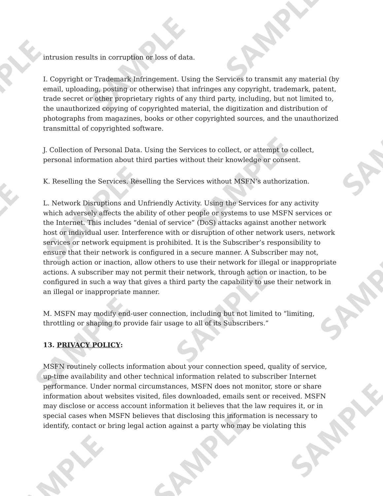intrusion results in corruption or loss of data.

I. Copyright or Trademark Infringement. Using the Services to transmit any material (by email, uploading, posting or otherwise) that infringes any copyright, trademark, patent, trade secret or other proprietary rights of any third party, including, but not limited to, the unauthorized copying of copyrighted material, the digitization and distribution of photographs from magazines, books or other copyrighted sources, and the unauthorized transmittal of copyrighted software.

J. Collection of Personal Data. Using the Services to collect, or attempt to collect, personal information about third parties without their knowledge or consent.

K. Reselling the Services. Reselling the Services without MSFN's authorization.

L. Network Disruptions and Unfriendly Activity. Using the Services for any activity which adversely affects the ability of other people or systems to use MSFN services or the Internet. This includes "denial of service" (DoS) attacks against another network host or individual user. Interference with or disruption of other network users, network services or network equipment is prohibited. It is the Subscriber's responsibility to ensure that their network is configured in a secure manner. A Subscriber may not, through action or inaction, allow others to use their network for illegal or inappropriate actions. A subscriber may not permit their network, through action or inaction, to be configured in such a way that gives a third party the capability to use their network in an illegal or inappropriate manner.

M. MSFN may modify end-user connection, including but not limited to "limiting, throttling or shaping to provide fair usage to all of its Subscribers."

## **13. PRIVACY POLICY:**

MSFN routinely collects information about your connection speed, quality of service, up-time availability and other technical information related to subscriber Internet performance. Under normal circumstances, MSFN does not monitor, store or share information about websites visited, files downloaded, emails sent or received. MSFN may disclose or access account information it believes that the law requires it, or in special cases when MSFN believes that disclosing this information is necessary to identify, contact or bring legal action against a party who may be violating this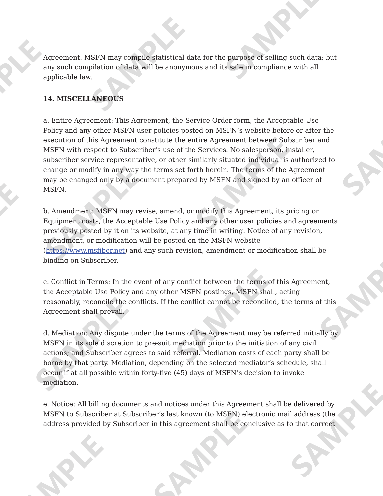Agreement. MSFN may compile statistical data for the purpose of selling such data; but any such compilation of data will be anonymous and its sale in compliance with all applicable law.

## **14. MISCELLANEOUS**

a. Entire Agreement: This Agreement, the Service Order form, the Acceptable Use Policy and any other MSFN user policies posted on MSFN's website before or after the execution of this Agreement constitute the entire Agreement between Subscriber and MSFN with respect to Subscriber's use of the Services. No salesperson, installer, subscriber service representative, or other similarly situated individual is authorized to change or modify in any way the terms set forth herein. The terms of the Agreement may be changed only by a document prepared by MSFN and signed by an officer of MSFN.

b. Amendment: MSFN may revise, amend, or modify this Agreement, its pricing or Equipment costs, the Acceptable Use Policy and any other user policies and agreements previously posted by it on its website, at any time in writing. Notice of any revision, amendment, or modification will be posted on the MSFN website (https://www.msfiber.net) and any such revision, amendment or modification shall be binding on Subscriber.

c. Conflict in Terms: In the event of any conflict between the terms of this Agreement, the Acceptable Use Policy and any other MSFN postings, MSFN shall, acting reasonably, reconcile the conflicts. If the conflict cannot be reconciled, the terms of this Agreement shall prevail.

d. Mediation: Any dispute under the terms of the Agreement may be referred initially by MSFN in its sole discretion to pre-suit mediation prior to the initiation of any civil actions; and Subscriber agrees to said referral. Mediation costs of each party shall be borne by that party. Mediation, depending on the selected mediator's schedule, shall occur if at all possible within forty-five (45) days of MSFN's decision to invoke mediation.

e. Notice: All billing documents and notices under this Agreement shall be delivered by MSFN to Subscriber at Subscriber's last known (to MSFN) electronic mail address (the address provided by Subscriber in this agreement shall be conclusive as to that correct